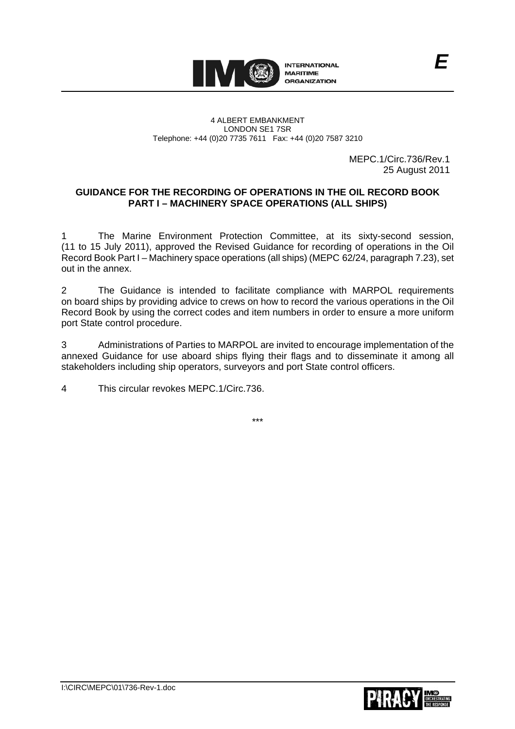

#### 4 ALBERT EMBANKMENT LONDON SE1 7SR Telephone: +44 (0)20 7735 7611 Fax: +44 (0)20 7587 3210

 MEPC.1/Circ.736/Rev.1 25 August 2011

*E*

## **GUIDANCE FOR THE RECORDING OF OPERATIONS IN THE OIL RECORD BOOK PART I – MACHINERY SPACE OPERATIONS (ALL SHIPS)**

The Marine Environment Protection Committee, at its sixty-second session, (11 to 15 July 2011), approved the Revised Guidance for recording of operations in the Oil Record Book Part I – Machinery space operations (all ships) (MEPC 62/24, paragraph 7.23), set out in the annex.

2 The Guidance is intended to facilitate compliance with MARPOL requirements on board ships by providing advice to crews on how to record the various operations in the Oil Record Book by using the correct codes and item numbers in order to ensure a more uniform port State control procedure.

3 Administrations of Parties to MARPOL are invited to encourage implementation of the annexed Guidance for use aboard ships flying their flags and to disseminate it among all stakeholders including ship operators, surveyors and port State control officers.

4 This circular revokes MEPC.1/Circ.736.

\*\*\*

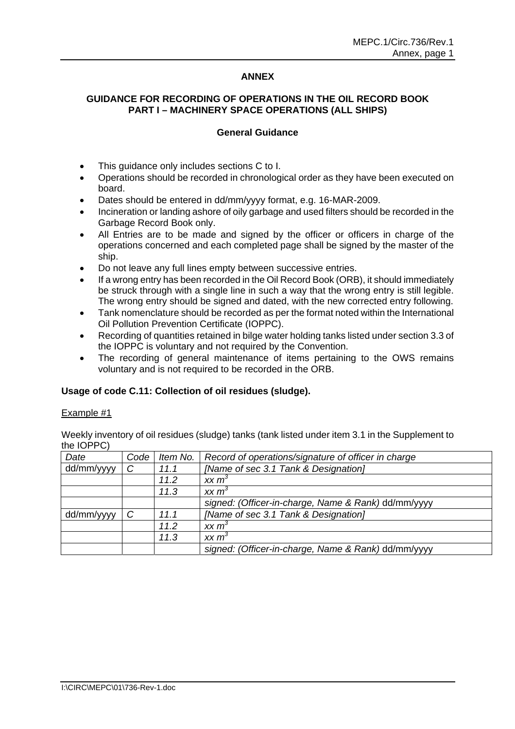### **ANNEX**

## **GUIDANCE FOR RECORDING OF OPERATIONS IN THE OIL RECORD BOOK PART I – MACHINERY SPACE OPERATIONS (ALL SHIPS)**

#### **General Guidance**

- This guidance only includes sections C to I.
- Operations should be recorded in chronological order as they have been executed on board.
- Dates should be entered in dd/mm/yyyy format, e.g. 16-MAR-2009.
- Incineration or landing ashore of oily garbage and used filters should be recorded in the Garbage Record Book only.
- All Entries are to be made and signed by the officer or officers in charge of the operations concerned and each completed page shall be signed by the master of the ship.
- Do not leave any full lines empty between successive entries.
- If a wrong entry has been recorded in the Oil Record Book (ORB), it should immediately be struck through with a single line in such a way that the wrong entry is still legible. The wrong entry should be signed and dated, with the new corrected entry following.
- Tank nomenclature should be recorded as per the format noted within the International Oil Pollution Prevention Certificate (IOPPC).
- Recording of quantities retained in bilge water holding tanks listed under section 3.3 of the IOPPC is voluntary and not required by the Convention.
- The recording of general maintenance of items pertaining to the OWS remains voluntary and is not required to be recorded in the ORB.

### **Usage of code C.11: Collection of oil residues (sludge).**

#### Example #1

Weekly inventory of oil residues (sludge) tanks (tank listed under item 3.1 in the Supplement to the IOPPC)

| Date       | Code | Item No. | Record of operations/signature of officer in charge |
|------------|------|----------|-----------------------------------------------------|
| dd/mm/yyyy | C    | 11.1     | [Name of sec 3.1 Tank & Designation]                |
|            |      | 11.2     | $xx \, m^3$                                         |
|            |      | 11.3     | xx m <sup>3</sup>                                   |
|            |      |          | signed: (Officer-in-charge, Name & Rank) dd/mm/yyyy |
| dd/mm/yyyy | C    | 11.1     | [Name of sec 3.1 Tank & Designation]                |
|            |      | 11.2     | xx m <sup>3</sup>                                   |
|            |      | 11.3     | xx m <sup>3</sup>                                   |
|            |      |          | signed: (Officer-in-charge, Name & Rank) dd/mm/yyyy |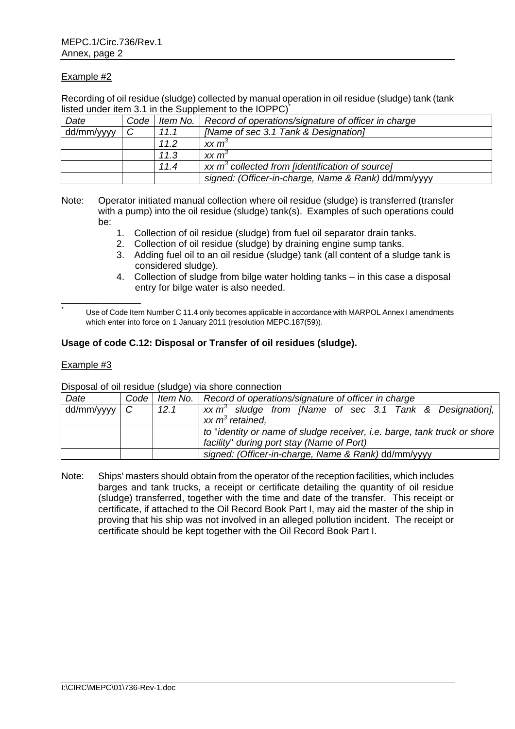Recording of oil residue (sludge) collected by manual operation in oil residue (sludge) tank (tank listed under item 3.1 in the Supplement to the IOPPC)<sup>\*</sup>

| Date       | Code         | <i>Item No.</i> $\vert$ | Record of operations/signature of officer in charge |
|------------|--------------|-------------------------|-----------------------------------------------------|
| dd/mm/yyyy | $\mathcal C$ | 11.1                    | [Name of sec 3.1 Tank & Designation]                |
|            |              | 11.2                    | $XX \, m3$                                          |
|            |              | 11.3                    | $xx \, m3$                                          |
|            |              | 11.4                    | xx $m^3$ collected from [identification of source]  |
|            |              |                         | signed: (Officer-in-charge, Name & Rank) dd/mm/yyyy |

Note: Operator initiated manual collection where oil residue (sludge) is transferred (transfer with a pump) into the oil residue (sludge) tank(s). Examples of such operations could be:

- 1. Collection of oil residue (sludge) from fuel oil separator drain tanks.
- 2. Collection of oil residue (sludge) by draining engine sump tanks.
- 3. Adding fuel oil to an oil residue (sludge) tank (all content of a sludge tank is considered sludge).
- 4. Collection of sludge from bilge water holding tanks in this case a disposal entry for bilge water is also needed.

 Use of Code Item Number C 11.4 only becomes applicable in accordance with MARPOL Annex I amendments which enter into force on 1 January 2011 (resolution MEPC.187(59)).

### **Usage of code C.12: Disposal or Transfer of oil residues (sludge).**

#### Example #3

\*

\_\_\_\_\_\_\_\_\_\_\_\_\_\_\_

Disposal of oil residue (sludge) via shore connection

| Date               | Code |      | Item No.   Record of operations/signature of officer in charge                  |
|--------------------|------|------|---------------------------------------------------------------------------------|
| $dd/mm/yyy \mid C$ |      | 12.1 | $xx m3$ sludge from [Name of sec 3.1 Tank & Designation],                       |
|                    |      |      | $xx m3$ retained,                                                               |
|                    |      |      | to "identity or name of sludge receiver, <i>i.e.</i> barge, tank truck or shore |
|                    |      |      | facility" during port stay (Name of Port)                                       |
|                    |      |      | signed: (Officer-in-charge, Name & Rank) dd/mm/yyyy                             |

Note: Ships' masters should obtain from the operator of the reception facilities, which includes barges and tank trucks, a receipt or certificate detailing the quantity of oil residue (sludge) transferred, together with the time and date of the transfer. This receipt or certificate, if attached to the Oil Record Book Part I, may aid the master of the ship in proving that his ship was not involved in an alleged pollution incident. The receipt or certificate should be kept together with the Oil Record Book Part I.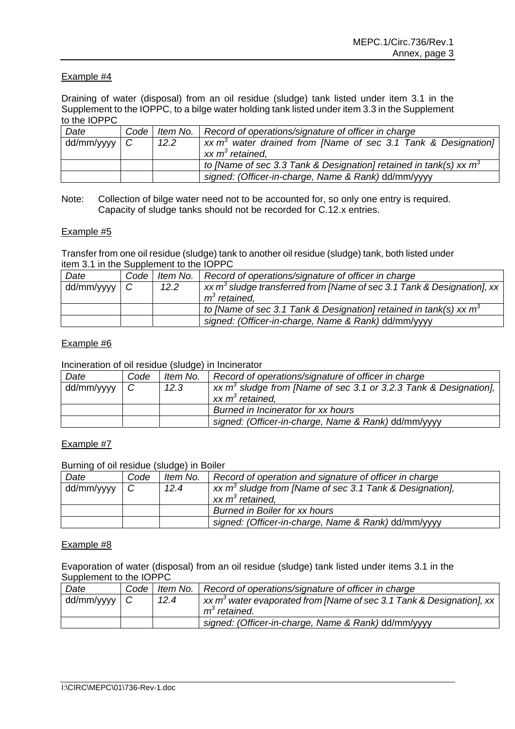Draining of water (disposal) from an oil residue (sludge) tank listed under item 3.1 in the Supplement to the IOPPC, to a bilge water holding tank listed under item 3.3 in the Supplement to the IOPPC

| Date            | Code |      | Item No.   Record of operations/signature of officer in charge                        |
|-----------------|------|------|---------------------------------------------------------------------------------------|
| $dd/mm/yyy$ $C$ |      | 12.2 | xx $m3$ water drained from [Name of sec 3.1 Tank & Designation]<br>xx $m^3$ retained, |
|                 |      |      | to [Name of sec 3.3 Tank & Designation] retained in tank(s) xx $m3$                   |
|                 |      |      | signed: (Officer-in-charge, Name & Rank) dd/mm/yyyy                                   |

Note: Collection of bilge water need not to be accounted for, so only one entry is required. Capacity of sludge tanks should not be recorded for C.12.x entries.

### Example #5

Transfer from one oil residue (sludge) tank to another oil residue (sludge) tank, both listed under item 3.1 in the Supplement to the IOPPC

| Date               | Code | Item No. 1 | Record of operations/signature of officer in charge                       |
|--------------------|------|------------|---------------------------------------------------------------------------|
| $dd/mm/yyy \mid C$ |      | 12.2       | xx $m^3$ sludge transferred from [Name of sec 3.1 Tank & Designation], xx |
|                    |      |            | $m3$ retained.                                                            |
|                    |      |            | to [Name of sec 3.1 Tank & Designation] retained in tank(s) xx $m3$       |
|                    |      |            | signed: (Officer-in-charge, Name & Rank) dd/mm/yyyy                       |

### Example #6

Incineration of oil residue (sludge) in Incinerator

| Date       | Code          | Item No. | Record of operations/signature of officer in charge                       |
|------------|---------------|----------|---------------------------------------------------------------------------|
| dd/mm/yyyy | $\mathcal{C}$ | 12.3     | $x \times m^3$ sludge from [Name of sec 3.1 or 3.2.3 Tank & Designation], |
|            |               |          | $xx m3$ retained.                                                         |
|            |               |          | Burned in Incinerator for xx hours                                        |
|            |               |          | signed: (Officer-in-charge, Name & Rank) dd/mm/yyyy                       |

### Example #7

Burning of oil residue (sludge) in Boiler

| Date       | Code | Item No. | Record of operation and signature of officer in charge     |
|------------|------|----------|------------------------------------------------------------|
| dd/mm/yyyy | C    | 12.4     | xx $m^3$ sludge from [Name of sec 3.1 Tank & Designation], |
|            |      |          | $xx m3$ retained.                                          |
|            |      |          | <b>Burned in Boiler for xx hours</b>                       |
|            |      |          | signed: (Officer-in-charge, Name & Rank) dd/mm/yyyy        |

#### Example #8

Evaporation of water (disposal) from an oil residue (sludge) tank listed under items 3.1 in the Supplement to the IOPPC

| Date                | Code I |      | Item No.   Record of operations/signature of officer in charge                                  |
|---------------------|--------|------|-------------------------------------------------------------------------------------------------|
| $dd/mm/yyyy \mid C$ |        | 12.4 | $\overline{x}$ xx m <sup>3</sup> water evaporated from [Name of sec 3.1 Tank & Designation], xx |
|                     |        |      | $m3$ retained.                                                                                  |
|                     |        |      | signed: (Officer-in-charge, Name & Rank) dd/mm/yyyy                                             |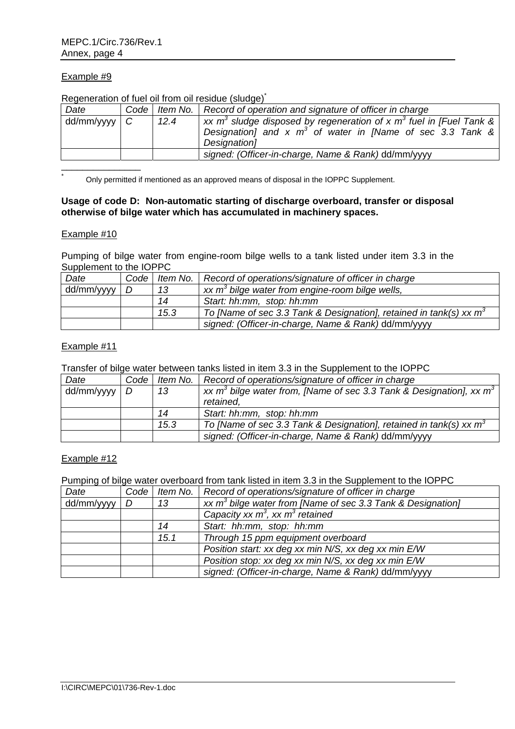| <u>Regerieration of ruel off from oil residue (siduge)</u> |  |      |                                                                          |  |  |
|------------------------------------------------------------|--|------|--------------------------------------------------------------------------|--|--|
| Date                                                       |  |      | Code   Item No.   Record of operation and signature of officer in charge |  |  |
| $dd/mm/yyyy$ $C$                                           |  | 12.4 | xx $m^3$ sludge disposed by regeneration of x $m^3$ fuel in [Fuel Tank & |  |  |
|                                                            |  |      | Designation] and x $m^3$ of water in [Name of sec 3.3 Tank &             |  |  |
|                                                            |  |      | Designation]                                                             |  |  |
|                                                            |  |      | signed: (Officer-in-charge, Name & Rank) dd/mm/yyyy                      |  |  |
|                                                            |  |      |                                                                          |  |  |

Regeneration of fuel oil from oil residue (sludge)\*

Only permitted if mentioned as an approved means of disposal in the IOPPC Supplement.

### **Usage of code D: Non-automatic starting of discharge overboard, transfer or disposal otherwise of bilge water which has accumulated in machinery spaces.**

### Example #10

\*

Pumping of bilge water from engine-room bilge wells to a tank listed under item 3.3 in the Supplement to the IOPPC

| Date       | Code |      | Item No.   Record of operations/signature of officer in charge        |
|------------|------|------|-----------------------------------------------------------------------|
| dd/mm/yyyy | D    | 13   | xx $m^3$ bilge water from engine-room bilge wells,                    |
|            |      | 14   | Start: hh:mm, stop: hh:mm                                             |
|            |      | 15.3 | To [Name of sec 3.3 Tank & Designation], retained in tank(s) xx $m^3$ |
|            |      |      | signed: (Officer-in-charge, Name & Rank) dd/mm/yyyy                   |

### Example #11

Transfer of bilge water between tanks listed in item 3.3 in the Supplement to the IOPPC

| Date       | Code | Item No. | Record of operations/signature of officer in charge                       |
|------------|------|----------|---------------------------------------------------------------------------|
| dd/mm/yyyy | D    | 13       | xx $m^3$ bilge water from, [Name of sec 3.3 Tank & Designation], xx $m^3$ |
|            |      |          | retained,                                                                 |
|            |      | 14       | Start: hh:mm, stop: hh:mm                                                 |
|            |      | 15.3     | To [Name of sec 3.3 Tank & Designation], retained in tank(s) xx $m^3$     |
|            |      |          | signed: (Officer-in-charge, Name & Rank) dd/mm/yyyy                       |

#### Example #12

Pumping of bilge water overboard from tank listed in item 3.3 in the Supplement to the IOPPC

| Date       |   |      | Code   Item No.   Record of operations/signature of officer in charge |
|------------|---|------|-----------------------------------------------------------------------|
| dd/mm/yyyy | D | 13   | xx $m^3$ bilge water from [Name of sec 3.3 Tank & Designation]        |
|            |   |      | Capacity xx $m^3$ , xx $m^3$ retained                                 |
|            |   | 14   | Start: hh:mm, stop: hh:mm                                             |
|            |   | 15.1 | Through 15 ppm equipment overboard                                    |
|            |   |      | Position start: xx deg xx min N/S, xx deg xx min E/W                  |
|            |   |      | Position stop: xx deg xx min N/S, xx deg xx min E/W                   |
|            |   |      | signed: (Officer-in-charge, Name & Rank) dd/mm/yyyy                   |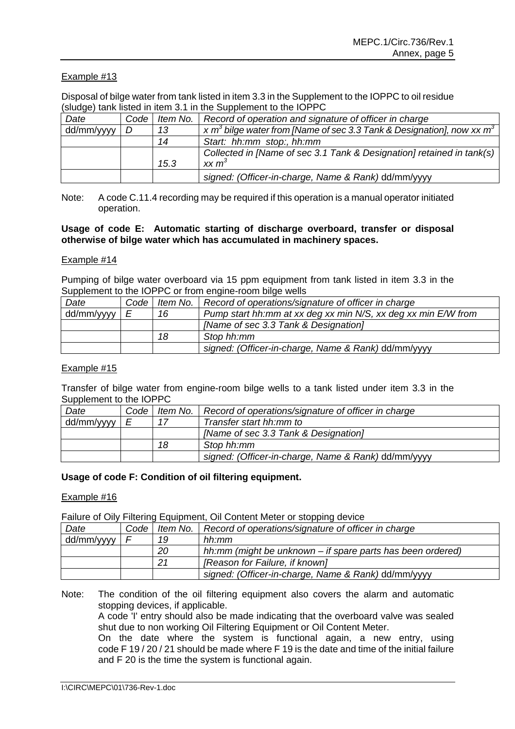Disposal of bilge water from tank listed in item 3.3 in the Supplement to the IOPPC to oil residue (sludge) tank listed in item 3.1 in the Supplement to the IOPPC

| Date       | Code |      | Item No.   Record of operation and signature of officer in charge                             |
|------------|------|------|-----------------------------------------------------------------------------------------------|
| dd/mm/yyyy | D    | 13   | x m <sup>3</sup> bilge water from [Name of sec 3.3 Tank & Designation], now xx m <sup>3</sup> |
|            |      | 14   | Start: hh:mm stop:, hh:mm                                                                     |
|            |      |      | Collected in [Name of sec 3.1 Tank & Designation] retained in tank(s)                         |
|            |      | 15.3 | $xx \, m3$                                                                                    |
|            |      |      | signed: (Officer-in-charge, Name & Rank) dd/mm/yyyy                                           |

Note: A code C.11.4 recording may be required if this operation is a manual operator initiated operation.

#### **Usage of code E: Automatic starting of discharge overboard, transfer or disposal otherwise of bilge water which has accumulated in machinery spaces.**

### Example #14

Pumping of bilge water overboard via 15 ppm equipment from tank listed in item 3.3 in the Supplement to the IOPPC or from engine-room bilge wells

| Date       | Code |    | Item No.   Record of operations/signature of officer in charge |
|------------|------|----|----------------------------------------------------------------|
| dd/mm/yyyy | F    | 16 | Pump start hh:mm at xx deg xx min N/S, xx deg xx min E/W from  |
|            |      |    | [Name of sec 3.3 Tank & Designation]                           |
|            |      | 18 | Stop hh:mm                                                     |
|            |      |    | signed: (Officer-in-charge, Name & Rank) dd/mm/yyyy            |

### Example #15

Transfer of bilge water from engine-room bilge wells to a tank listed under item 3.3 in the Supplement to the IOPPC

| Date       | Code <sub>1</sub> |    | Item No.   Record of operations/signature of officer in charge |
|------------|-------------------|----|----------------------------------------------------------------|
| dd/mm/yyyy | F                 |    | Transfer start hh:mm to                                        |
|            |                   |    | [Name of sec 3.3 Tank & Designation]                           |
|            |                   | 18 | Stop hh:mm                                                     |
|            |                   |    | signed: (Officer-in-charge, Name & Rank) dd/mm/yyyy            |

#### **Usage of code F: Condition of oil filtering equipment.**

#### Example #16

Failure of Oily Filtering Equipment, Oil Content Meter or stopping device

| Date       | Code |    | Item No.   Record of operations/signature of officer in charge |
|------------|------|----|----------------------------------------------------------------|
| dd/mm/yyyy |      | 19 | hh:mm                                                          |
|            |      | 20 | hh:mm (might be unknown $-$ if spare parts has been ordered)   |
|            |      | 21 | [Reason for Failure, if known]                                 |
|            |      |    | signed: (Officer-in-charge, Name & Rank) dd/mm/yyyy            |

Note: The condition of the oil filtering equipment also covers the alarm and automatic stopping devices, if applicable.

A code 'I' entry should also be made indicating that the overboard valve was sealed shut due to non working Oil Filtering Equipment or Oil Content Meter.

On the date where the system is functional again, a new entry, using code F 19 / 20 / 21 should be made where F 19 is the date and time of the initial failure and F 20 is the time the system is functional again.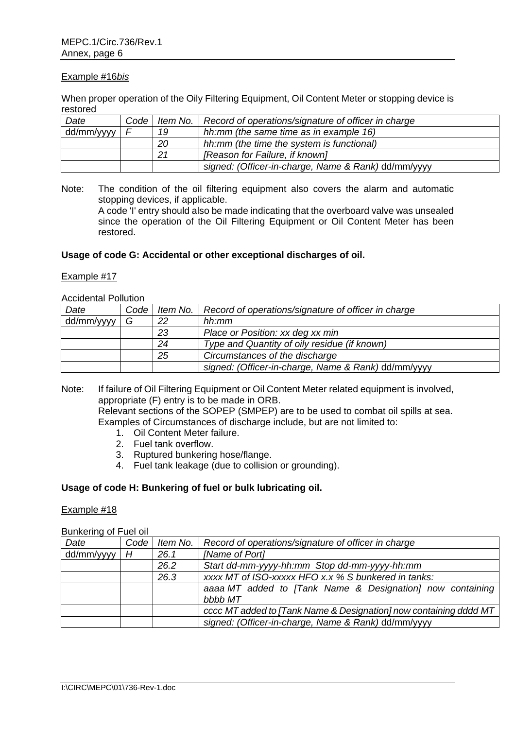#### Example #16*bis*

When proper operation of the Oily Filtering Equipment, Oil Content Meter or stopping device is restored

| Date       | Code <sub>1</sub> |    | Item No.   Record of operations/signature of officer in charge |
|------------|-------------------|----|----------------------------------------------------------------|
| dd/mm/yyyy |                   | 19 | hh:mm (the same time as in example 16)                         |
|            |                   | 20 | hh:mm (the time the system is functional)                      |
|            |                   | 21 | [Reason for Failure, if known]                                 |
|            |                   |    | signed: (Officer-in-charge, Name & Rank) dd/mm/yyyy            |

Note: The condition of the oil filtering equipment also covers the alarm and automatic stopping devices, if applicable.

A code 'I' entry should also be made indicating that the overboard valve was unsealed since the operation of the Oil Filtering Equipment or Oil Content Meter has been restored.

#### **Usage of code G: Accidental or other exceptional discharges of oil.**

#### Example #17

### Accidental Pollution

| Date       | Code |    | Item No.   Record of operations/signature of officer in charge |
|------------|------|----|----------------------------------------------------------------|
| dd/mm/yyyy | G    | 22 | $hh$ : $mm$                                                    |
|            |      | 23 | Place or Position: xx deg xx min                               |
|            |      | 24 | Type and Quantity of oily residue (if known)                   |
|            |      | 25 | Circumstances of the discharge                                 |
|            |      |    | signed: (Officer-in-charge, Name & Rank) dd/mm/yyyy            |

Note: If failure of Oil Filtering Equipment or Oil Content Meter related equipment is involved, appropriate (F) entry is to be made in ORB. Relevant sections of the SOPEP (SMPEP) are to be used to combat oil spills at sea. Examples of Circumstances of discharge include, but are not limited to:

- 1. Oil Content Meter failure.
- 2. Fuel tank overflow.
- 3. Ruptured bunkering hose/flange.
- 4. Fuel tank leakage (due to collision or grounding).

### **Usage of code H: Bunkering of fuel or bulk lubricating oil.**

#### Example #18

#### Bunkering of Fuel oil

| Date       | Code | Item No. | Record of operations/signature of officer in charge               |
|------------|------|----------|-------------------------------------------------------------------|
| dd/mm/yyyy | H    | 26.1     | [Name of Port]                                                    |
|            |      | 26.2     | Start dd-mm-yyyy-hh:mm Stop dd-mm-yyyy-hh:mm                      |
|            |      | 26.3     | xxxx MT of ISO-xxxxx HFO x.x % S bunkered in tanks:               |
|            |      |          | aaaa MT added to [Tank Name & Designation] now containing         |
|            |      |          | bbbb MT                                                           |
|            |      |          | cccc MT added to [Tank Name & Designation] now containing dddd MT |
|            |      |          | signed: (Officer-in-charge, Name & Rank) dd/mm/yyyy               |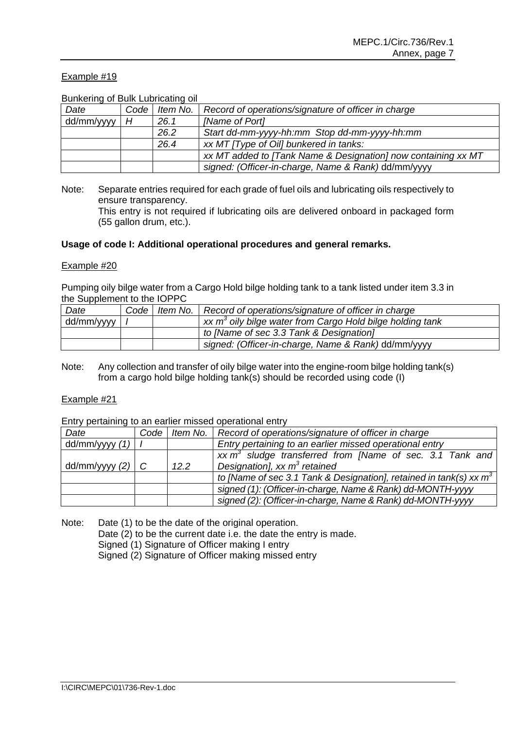| Date       | Code |      | Item No.   Record of operations/signature of officer in charge |
|------------|------|------|----------------------------------------------------------------|
| dd/mm/yyyy | Н    | 26.1 | [Name of Port]                                                 |
|            |      | 26.2 | Start dd-mm-yyyy-hh:mm Stop dd-mm-yyyy-hh:mm                   |
|            |      | 26.4 | xx MT [Type of Oil] bunkered in tanks:                         |
|            |      |      | xx MT added to [Tank Name & Designation] now containing xx MT  |
|            |      |      | signed: (Officer-in-charge, Name & Rank) dd/mm/yyyy            |

### Bunkering of Bulk Lubricating oil

Note: Separate entries required for each grade of fuel oils and lubricating oils respectively to ensure transparency.

 This entry is not required if lubricating oils are delivered onboard in packaged form (55 gallon drum, etc.).

### **Usage of code I: Additional operational procedures and general remarks.**

### Example #20

Pumping oily bilge water from a Cargo Hold bilge holding tank to a tank listed under item 3.3 in the Supplement to the IOPPC

| Date       | Code I | Item No.   Record of operations/signature of officer in charge          |
|------------|--------|-------------------------------------------------------------------------|
| dd/mm/yyyy |        | $xx$ m <sup>3</sup> oily bilge water from Cargo Hold bilge holding tank |
|            |        | to [Name of sec 3.3 Tank & Designation]                                 |
|            |        | signed: (Officer-in-charge, Name & Rank) dd/mm/yyyy                     |

Note: Any collection and transfer of oily bilge water into the engine-room bilge holding tank(s) from a cargo hold bilge holding tank(s) should be recorded using code (I)

#### Example #21

Entry pertaining to an earlier missed operational entry

| Date               | Code |      | Item No.   Record of operations/signature of officer in charge        |
|--------------------|------|------|-----------------------------------------------------------------------|
| dd/mm/yyy(1)       |      |      | Entry pertaining to an earlier missed operational entry               |
|                    |      |      | $xx m3$ sludge transferred from [Name of sec. 3.1 Tank and            |
| dd/mm/yyyy $(2)$ C |      | 12.2 | Designation], xx $m^3$ retained                                       |
|                    |      |      | to [Name of sec 3.1 Tank & Designation], retained in tank(s) xx $m^3$ |
|                    |      |      | signed (1): (Officer-in-charge, Name & Rank) dd-MONTH-yyyy            |
|                    |      |      | signed (2): (Officer-in-charge, Name & Rank) dd-MONTH-yyyy            |

Note: Date (1) to be the date of the original operation. Date (2) to be the current date i.e. the date the entry is made. Signed (1) Signature of Officer making I entry Signed (2) Signature of Officer making missed entry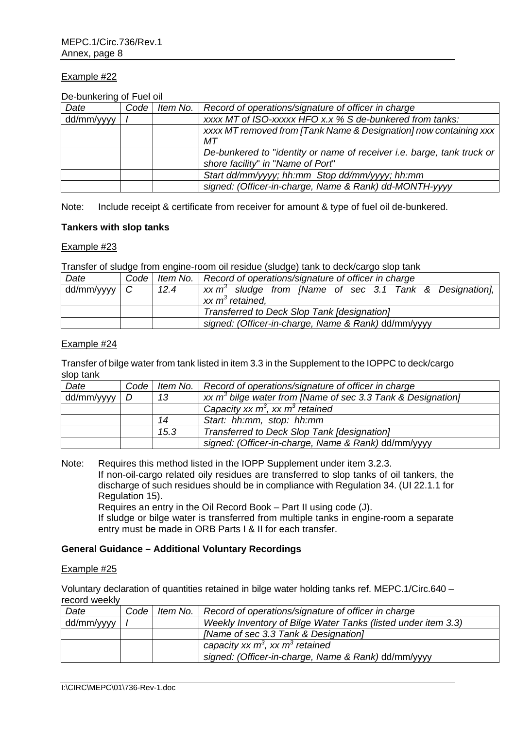| <b>DC-DUTINGTHING OF FIGHT OIL</b> |        |                         |                                                                               |
|------------------------------------|--------|-------------------------|-------------------------------------------------------------------------------|
| Date                               | Code I | <i>Item No.</i> $\vert$ | Record of operations/signature of officer in charge                           |
| dd/mm/yyyy                         |        |                         | xxxx MT of ISO-xxxxx HFO x.x % S de-bunkered from tanks:                      |
|                                    |        |                         | xxxx MT removed from [Tank Name & Designation] now containing xxx             |
|                                    |        |                         | MТ                                                                            |
|                                    |        |                         | De-bunkered to "identity or name of receiver <i>i.e.</i> barge, tank truck or |
|                                    |        |                         | shore facility" in "Name of Port"                                             |
|                                    |        |                         | Start dd/mm/yyyy; hh:mm Stop dd/mm/yyyy; hh:mm                                |
|                                    |        |                         | signed: (Officer-in-charge, Name & Rank) dd-MONTH-yyyy                        |

De-bunkering of Fuel oil

Note: Include receipt & certificate from receiver for amount & type of fuel oil de-bunkered.

### **Tankers with slop tanks**

### Example #23

Transfer of sludge from engine-room oil residue (sludge) tank to deck/cargo slop tank

| Date               | Code |      | Item No.   Record of operations/signature of officer in charge                        |
|--------------------|------|------|---------------------------------------------------------------------------------------|
| $dd/mm/yyy \mid C$ |      | 12.4 | $xx \, m3$ sludge from [Name of sec 3.1 Tank & Designation],<br>$xx \, m^3$ retained. |
|                    |      |      | Transferred to Deck Slop Tank [designation]                                           |
|                    |      |      | signed: (Officer-in-charge, Name & Rank) dd/mm/yyyy                                   |

### Example #24

Transfer of bilge water from tank listed in item 3.3 in the Supplement to the IOPPC to deck/cargo slop tank

| Date       | Code |      | Item No.   Record of operations/signature of officer in charge |
|------------|------|------|----------------------------------------------------------------|
| dd/mm/yyyy | D    | 13   | xx $m^3$ bilge water from [Name of sec 3.3 Tank & Designation] |
|            |      |      | Capacity xx $m^3$ , xx $m^3$ retained                          |
|            |      | 14   | Start: hh:mm, stop: hh:mm                                      |
|            |      | 15.3 | Transferred to Deck Slop Tank [designation]                    |
|            |      |      | signed: (Officer-in-charge, Name & Rank) dd/mm/yyyy            |

Note: Requires this method listed in the IOPP Supplement under item 3.2.3. If non-oil-cargo related oily residues are transferred to slop tanks of oil tankers, the discharge of such residues should be in compliance with Regulation 34. (UI 22.1.1 for Regulation 15).

Requires an entry in the Oil Record Book – Part II using code (J).

If sludge or bilge water is transferred from multiple tanks in engine-room a separate entry must be made in ORB Parts I & II for each transfer.

### **General Guidance – Additional Voluntary Recordings**

#### Example #25

Voluntary declaration of quantities retained in bilge water holding tanks ref. MEPC.1/Circ.640 – record weekly

| Date       | Code | Item No.   Record of operations/signature of officer in charge |
|------------|------|----------------------------------------------------------------|
| dd/mm/yyyy |      | Weekly Inventory of Bilge Water Tanks (listed under item 3.3)  |
|            |      | [Name of sec 3.3 Tank & Designation]                           |
|            |      | capacity xx $m^3$ , xx $m^3$ retained                          |
|            |      | signed: (Officer-in-charge, Name & Rank) dd/mm/yyyy            |